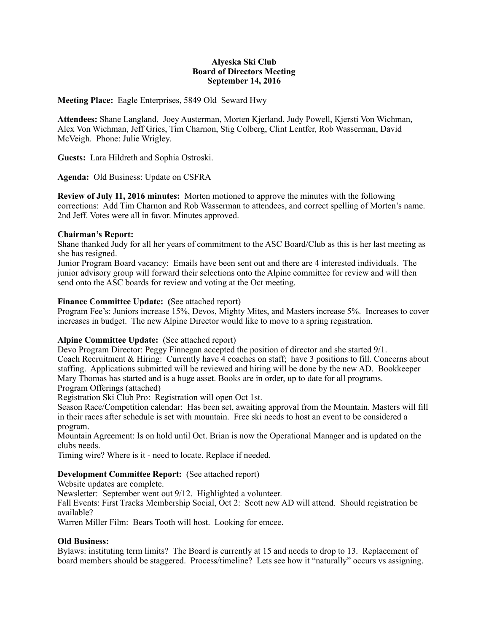### **Alyeska Ski Club Board of Directors Meeting September 14, 2016**

**Meeting Place:** Eagle Enterprises, 5849 Old Seward Hwy

**Attendees:** Shane Langland, Joey Austerman, Morten Kjerland, Judy Powell, Kjersti Von Wichman, Alex Von Wichman, Jeff Gries, Tim Charnon, Stig Colberg, Clint Lentfer, Rob Wasserman, David McVeigh. Phone: Julie Wrigley.

**Guests:** Lara Hildreth and Sophia Ostroski.

**Agenda:** Old Business: Update on CSFRA

**Review of July 11, 2016 minutes:** Morten motioned to approve the minutes with the following corrections: Add Tim Charnon and Rob Wasserman to attendees, and correct spelling of Morten's name. 2nd Jeff. Votes were all in favor. Minutes approved.

# **Chairman's Report:**

Shane thanked Judy for all her years of commitment to the ASC Board/Club as this is her last meeting as she has resigned.

Junior Program Board vacancy: Emails have been sent out and there are 4 interested individuals. The junior advisory group will forward their selections onto the Alpine committee for review and will then send onto the ASC boards for review and voting at the Oct meeting.

### **Finance Committee Update: (**See attached report)

Program Fee's: Juniors increase 15%, Devos, Mighty Mites, and Masters increase 5%. Increases to cover increases in budget. The new Alpine Director would like to move to a spring registration.

# **Alpine Committee Update:** (See attached report)

Devo Program Director: Peggy Finnegan accepted the position of director and she started 9/1. Coach Recruitment & Hiring: Currently have 4 coaches on staff; have 3 positions to fill. Concerns about staffing. Applications submitted will be reviewed and hiring will be done by the new AD. Bookkeeper Mary Thomas has started and is a huge asset. Books are in order, up to date for all programs. Program Offerings (attached)

Registration Ski Club Pro: Registration will open Oct 1st.

Season Race/Competition calendar: Has been set, awaiting approval from the Mountain. Masters will fill in their races after schedule is set with mountain. Free ski needs to host an event to be considered a program.

Mountain Agreement: Is on hold until Oct. Brian is now the Operational Manager and is updated on the clubs needs.

Timing wire? Where is it - need to locate. Replace if needed.

# **Development Committee Report:** (See attached report)

Website updates are complete.

Newsletter: September went out 9/12. Highlighted a volunteer.

Fall Events: First Tracks Membership Social, Oct 2: Scott new AD will attend. Should registration be available?

Warren Miller Film: Bears Tooth will host. Looking for emcee.

# **Old Business:**

Bylaws: instituting term limits? The Board is currently at 15 and needs to drop to 13. Replacement of board members should be staggered. Process/timeline? Lets see how it "naturally" occurs vs assigning.